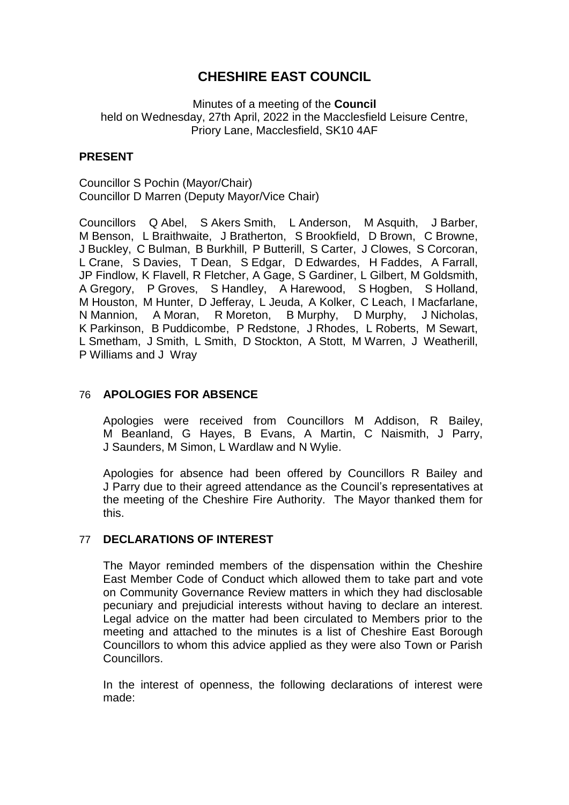# **CHESHIRE EAST COUNCIL**

Minutes of a meeting of the **Council** held on Wednesday, 27th April, 2022 in the Macclesfield Leisure Centre, Priory Lane, Macclesfield, SK10 4AF

# **PRESENT**

Councillor S Pochin (Mayor/Chair) Councillor D Marren (Deputy Mayor/Vice Chair)

Councillors Q Abel, S Akers Smith, L Anderson, M Asquith, J Barber, M Benson, L Braithwaite, J Bratherton, S Brookfield, D Brown, C Browne, J Buckley, C Bulman, B Burkhill, P Butterill, S Carter, J Clowes, S Corcoran, L Crane, S Davies, T Dean, S Edgar, D Edwardes, H Faddes, A Farrall, JP Findlow, K Flavell, R Fletcher, A Gage, S Gardiner, L Gilbert, M Goldsmith, A Gregory, P Groves, S Handley, A Harewood, S Hogben, S Holland, M Houston, M Hunter, D Jefferay, L Jeuda, A Kolker, C Leach, I Macfarlane, N Mannion, A Moran, R Moreton, B Murphy, D Murphy, J Nicholas, K Parkinson, B Puddicombe, P Redstone, J Rhodes, L Roberts, M Sewart, L Smetham, J Smith, L Smith, D Stockton, A Stott, M Warren, J Weatherill, P Williams and J Wray

## 76 **APOLOGIES FOR ABSENCE**

Apologies were received from Councillors M Addison, R Bailey, M Beanland, G Hayes, B Evans, A Martin, C Naismith, J Parry, J Saunders, M Simon, L Wardlaw and N Wylie.

Apologies for absence had been offered by Councillors R Bailey and J Parry due to their agreed attendance as the Council's representatives at the meeting of the Cheshire Fire Authority. The Mayor thanked them for this.

## 77 **DECLARATIONS OF INTEREST**

The Mayor reminded members of the dispensation within the Cheshire East Member Code of Conduct which allowed them to take part and vote on Community Governance Review matters in which they had disclosable pecuniary and prejudicial interests without having to declare an interest. Legal advice on the matter had been circulated to Members prior to the meeting and attached to the minutes is a list of Cheshire East Borough Councillors to whom this advice applied as they were also Town or Parish Councillors.

In the interest of openness, the following declarations of interest were made: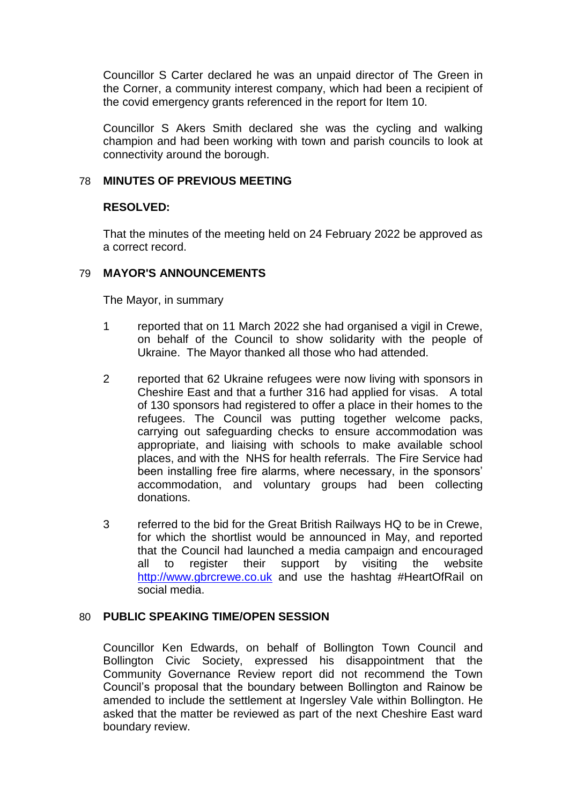Councillor S Carter declared he was an unpaid director of The Green in the Corner, a community interest company, which had been a recipient of the covid emergency grants referenced in the report for Item 10.

Councillor S Akers Smith declared she was the cycling and walking champion and had been working with town and parish councils to look at connectivity around the borough.

# 78 **MINUTES OF PREVIOUS MEETING**

# **RESOLVED:**

That the minutes of the meeting held on 24 February 2022 be approved as a correct record.

# 79 **MAYOR'S ANNOUNCEMENTS**

The Mayor, in summary

- 1 reported that on 11 March 2022 she had organised a vigil in Crewe, on behalf of the Council to show solidarity with the people of Ukraine. The Mayor thanked all those who had attended.
- 2 reported that 62 Ukraine refugees were now living with sponsors in Cheshire East and that a further 316 had applied for visas. A total of 130 sponsors had registered to offer a place in their homes to the refugees. The Council was putting together welcome packs, carrying out safeguarding checks to ensure accommodation was appropriate, and liaising with schools to make available school places, and with the NHS for health referrals. The Fire Service had been installing free fire alarms, where necessary, in the sponsors' accommodation, and voluntary groups had been collecting donations.
- 3 referred to the bid for the Great British Railways HQ to be in Crewe, for which the shortlist would be announced in May, and reported that the Council had launched a media campaign and encouraged all to register their support by visiting the website [http://www.gbrcrewe.co.uk](http://www.gbrcrewe.co.uk/) and use the hashtag #HeartOfRail on social media.

## 80 **PUBLIC SPEAKING TIME/OPEN SESSION**

Councillor Ken Edwards, on behalf of Bollington Town Council and Bollington Civic Society, expressed his disappointment that the Community Governance Review report did not recommend the Town Council's proposal that the boundary between Bollington and Rainow be amended to include the settlement at Ingersley Vale within Bollington. He asked that the matter be reviewed as part of the next Cheshire East ward boundary review.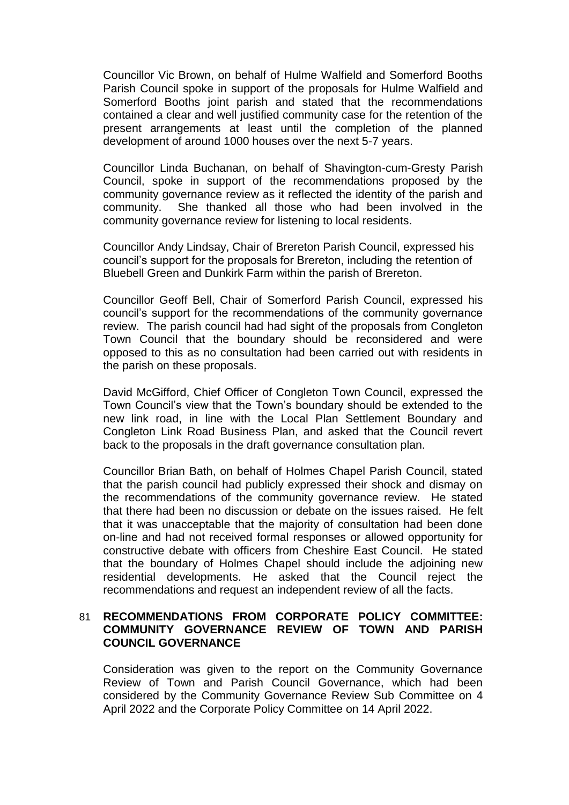Councillor Vic Brown, on behalf of Hulme Walfield and Somerford Booths Parish Council spoke in support of the proposals for Hulme Walfield and Somerford Booths joint parish and stated that the recommendations contained a clear and well justified community case for the retention of the present arrangements at least until the completion of the planned development of around 1000 houses over the next 5-7 years.

Councillor Linda Buchanan, on behalf of Shavington-cum-Gresty Parish Council, spoke in support of the recommendations proposed by the community governance review as it reflected the identity of the parish and community. She thanked all those who had been involved in the community governance review for listening to local residents.

Councillor Andy Lindsay, Chair of Brereton Parish Council, expressed his council's support for the proposals for Brereton, including the retention of Bluebell Green and Dunkirk Farm within the parish of Brereton.

Councillor Geoff Bell, Chair of Somerford Parish Council, expressed his council's support for the recommendations of the community governance review. The parish council had had sight of the proposals from Congleton Town Council that the boundary should be reconsidered and were opposed to this as no consultation had been carried out with residents in the parish on these proposals.

David McGifford, Chief Officer of Congleton Town Council, expressed the Town Council's view that the Town's boundary should be extended to the new link road, in line with the Local Plan Settlement Boundary and Congleton Link Road Business Plan, and asked that the Council revert back to the proposals in the draft governance consultation plan.

Councillor Brian Bath, on behalf of Holmes Chapel Parish Council, stated that the parish council had publicly expressed their shock and dismay on the recommendations of the community governance review. He stated that there had been no discussion or debate on the issues raised. He felt that it was unacceptable that the majority of consultation had been done on-line and had not received formal responses or allowed opportunity for constructive debate with officers from Cheshire East Council. He stated that the boundary of Holmes Chapel should include the adjoining new residential developments. He asked that the Council reject the recommendations and request an independent review of all the facts.

## 81 **RECOMMENDATIONS FROM CORPORATE POLICY COMMITTEE: COMMUNITY GOVERNANCE REVIEW OF TOWN AND PARISH COUNCIL GOVERNANCE**

Consideration was given to the report on the Community Governance Review of Town and Parish Council Governance, which had been considered by the Community Governance Review Sub Committee on 4 April 2022 and the Corporate Policy Committee on 14 April 2022.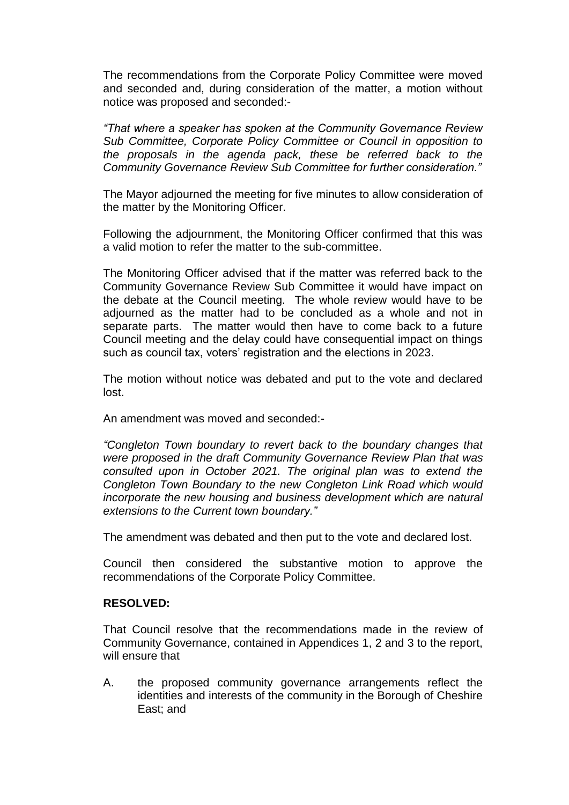The recommendations from the Corporate Policy Committee were moved and seconded and, during consideration of the matter, a motion without notice was proposed and seconded:-

*"That where a speaker has spoken at the Community Governance Review Sub Committee, Corporate Policy Committee or Council in opposition to the proposals in the agenda pack, these be referred back to the Community Governance Review Sub Committee for further consideration."*

The Mayor adjourned the meeting for five minutes to allow consideration of the matter by the Monitoring Officer.

Following the adjournment, the Monitoring Officer confirmed that this was a valid motion to refer the matter to the sub-committee.

The Monitoring Officer advised that if the matter was referred back to the Community Governance Review Sub Committee it would have impact on the debate at the Council meeting. The whole review would have to be adjourned as the matter had to be concluded as a whole and not in separate parts. The matter would then have to come back to a future Council meeting and the delay could have consequential impact on things such as council tax, voters' registration and the elections in 2023.

The motion without notice was debated and put to the vote and declared lost.

An amendment was moved and seconded:-

*"Congleton Town boundary to revert back to the boundary changes that were proposed in the draft Community Governance Review Plan that was consulted upon in October 2021. The original plan was to extend the Congleton Town Boundary to the new Congleton Link Road which would incorporate the new housing and business development which are natural extensions to the Current town boundary."*

The amendment was debated and then put to the vote and declared lost.

Council then considered the substantive motion to approve the recommendations of the Corporate Policy Committee.

## **RESOLVED:**

That Council resolve that the recommendations made in the review of Community Governance, contained in Appendices 1, 2 and 3 to the report, will ensure that

A. the proposed community governance arrangements reflect the identities and interests of the community in the Borough of Cheshire East; and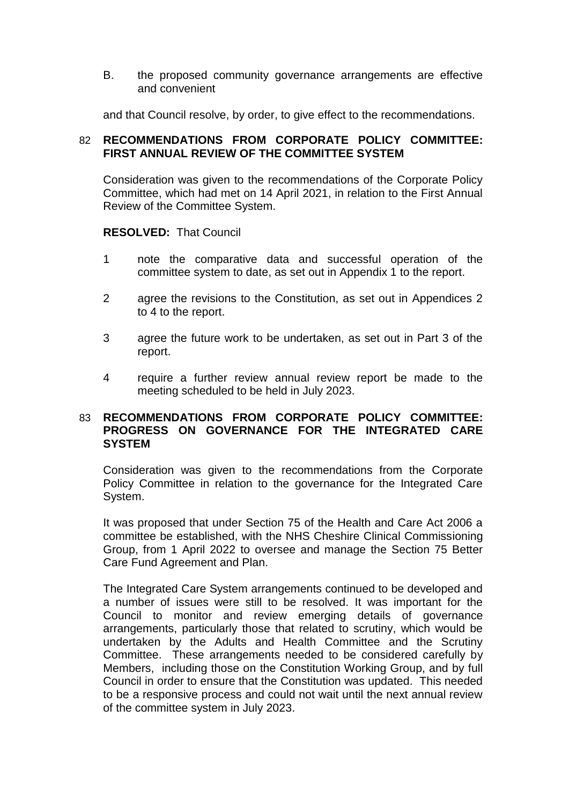B. the proposed community governance arrangements are effective and convenient

and that Council resolve, by order, to give effect to the recommendations.

# 82 **RECOMMENDATIONS FROM CORPORATE POLICY COMMITTEE: FIRST ANNUAL REVIEW OF THE COMMITTEE SYSTEM**

Consideration was given to the recommendations of the Corporate Policy Committee, which had met on 14 April 2021, in relation to the First Annual Review of the Committee System.

## **RESOLVED:** That Council

- 1 note the comparative data and successful operation of the committee system to date, as set out in Appendix 1 to the report.
- 2 agree the revisions to the Constitution, as set out in Appendices 2 to 4 to the report.
- 3 agree the future work to be undertaken, as set out in Part 3 of the report.
- 4 require a further review annual review report be made to the meeting scheduled to be held in July 2023.

## 83 **RECOMMENDATIONS FROM CORPORATE POLICY COMMITTEE: PROGRESS ON GOVERNANCE FOR THE INTEGRATED CARE SYSTEM**

Consideration was given to the recommendations from the Corporate Policy Committee in relation to the governance for the Integrated Care System.

It was proposed that under Section 75 of the Health and Care Act 2006 a committee be established, with the NHS Cheshire Clinical Commissioning Group, from 1 April 2022 to oversee and manage the Section 75 Better Care Fund Agreement and Plan.

The Integrated Care System arrangements continued to be developed and a number of issues were still to be resolved. It was important for the Council to monitor and review emerging details of governance arrangements, particularly those that related to scrutiny, which would be undertaken by the Adults and Health Committee and the Scrutiny Committee.These arrangements needed to be considered carefully by Members, including those on the Constitution Working Group, and by full Council in order to ensure that the Constitution was updated. This needed to be a responsive process and could not wait until the next annual review of the committee system in July 2023.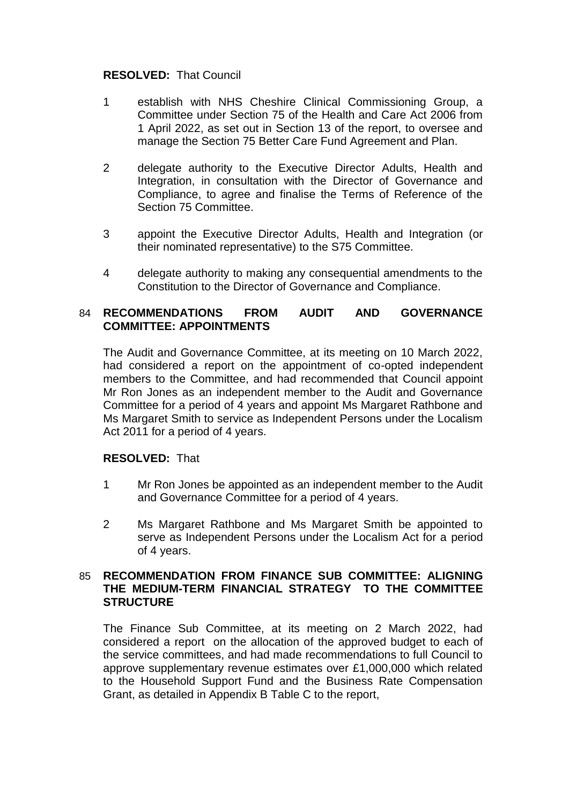#### **RESOLVED:** That Council

- 1 establish with NHS Cheshire Clinical Commissioning Group, a Committee under Section 75 of the Health and Care Act 2006 from 1 April 2022, as set out in Section 13 of the report, to oversee and manage the Section 75 Better Care Fund Agreement and Plan.
- 2 delegate authority to the Executive Director Adults, Health and Integration, in consultation with the Director of Governance and Compliance, to agree and finalise the Terms of Reference of the Section 75 Committee.
- 3 appoint the Executive Director Adults, Health and Integration (or their nominated representative) to the S75 Committee.
- 4 delegate authority to making any consequential amendments to the Constitution to the Director of Governance and Compliance.

# 84 **RECOMMENDATIONS FROM AUDIT AND GOVERNANCE COMMITTEE: APPOINTMENTS**

The Audit and Governance Committee, at its meeting on 10 March 2022, had considered a report on the appointment of co-opted independent members to the Committee, and had recommended that Council appoint Mr Ron Jones as an independent member to the Audit and Governance Committee for a period of 4 years and appoint Ms Margaret Rathbone and Ms Margaret Smith to service as Independent Persons under the Localism Act 2011 for a period of 4 years.

#### **RESOLVED:** That

- 1 Mr Ron Jones be appointed as an independent member to the Audit and Governance Committee for a period of 4 years.
- 2 Ms Margaret Rathbone and Ms Margaret Smith be appointed to serve as Independent Persons under the Localism Act for a period of 4 years.

## 85 **RECOMMENDATION FROM FINANCE SUB COMMITTEE: ALIGNING THE MEDIUM-TERM FINANCIAL STRATEGY TO THE COMMITTEE STRUCTURE**

The Finance Sub Committee, at its meeting on 2 March 2022, had considered a report on the allocation of the approved budget to each of the service committees, and had made recommendations to full Council to approve supplementary revenue estimates over £1,000,000 which related to the Household Support Fund and the Business Rate Compensation Grant, as detailed in Appendix B Table C to the report,